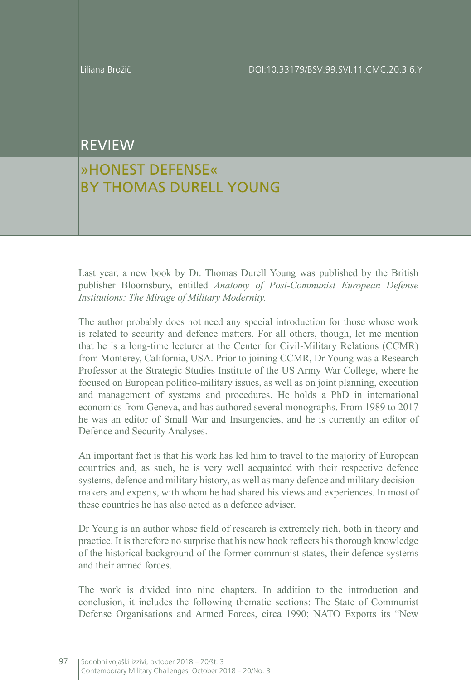## REVIEW

## »HONEST DEFENSE« BY THOMAS DURELL YOUNG

Last year, a new book by Dr. Thomas Durell Young was published by the British publisher Bloomsbury, entitled *Anatomy of Post-Communist European Defense Institutions: The Mirage of Military Modernity.*

The author probably does not need any special introduction for those whose work is related to security and defence matters. For all others, though, let me mention that he is a long-time lecturer at the Center for Civil-Military Relations (CCMR) from Monterey, California, USA. Prior to joining CCMR, Dr Young was a Research Professor at the Strategic Studies Institute of the US Army War College, where he focused on European politico-military issues, as well as on joint planning, execution and management of systems and procedures. He holds a PhD in international economics from Geneva, and has authored several monographs. From 1989 to 2017 he was an editor of Small War and Insurgencies, and he is currently an editor of Defence and Security Analyses.

An important fact is that his work has led him to travel to the majority of European countries and, as such, he is very well acquainted with their respective defence systems, defence and military history, as well as many defence and military decisionmakers and experts, with whom he had shared his views and experiences. In most of these countries he has also acted as a defence adviser.

Dr Young is an author whose field of research is extremely rich, both in theory and practice. It is therefore no surprise that his new book reflects his thorough knowledge of the historical background of the former communist states, their defence systems and their armed forces.

The work is divided into nine chapters. In addition to the introduction and conclusion, it includes the following thematic sections: The State of Communist Defense Organisations and Armed Forces, circa 1990; NATO Exports its "New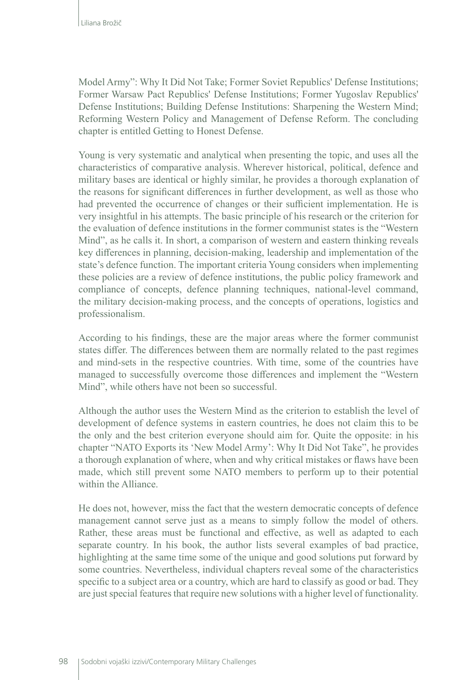Model Army": Why It Did Not Take; Former Soviet Republics' Defense Institutions; Former Warsaw Pact Republics' Defense Institutions; Former Yugoslav Republics' Defense Institutions; Building Defense Institutions: Sharpening the Western Mind; Reforming Western Policy and Management of Defense Reform. The concluding chapter is entitled Getting to Honest Defense.

Young is very systematic and analytical when presenting the topic, and uses all the characteristics of comparative analysis. Wherever historical, political, defence and military bases are identical or highly similar, he provides a thorough explanation of the reasons for significant differences in further development, as well as those who had prevented the occurrence of changes or their sufficient implementation. He is very insightful in his attempts. The basic principle of his research or the criterion for the evaluation of defence institutions in the former communist states is the "Western Mind", as he calls it. In short, a comparison of western and eastern thinking reveals key differences in planning, decision-making, leadership and implementation of the state's defence function. The important criteria Young considers when implementing these policies are a review of defence institutions, the public policy framework and compliance of concepts, defence planning techniques, national-level command, the military decision-making process, and the concepts of operations, logistics and professionalism.

According to his findings, these are the major areas where the former communist states differ. The differences between them are normally related to the past regimes and mind-sets in the respective countries. With time, some of the countries have managed to successfully overcome those differences and implement the "Western Mind", while others have not been so successful.

Although the author uses the Western Mind as the criterion to establish the level of development of defence systems in eastern countries, he does not claim this to be the only and the best criterion everyone should aim for. Quite the opposite: in his chapter "NATO Exports its 'New Model Army': Why It Did Not Take", he provides a thorough explanation of where, when and why critical mistakes or flaws have been made, which still prevent some NATO members to perform up to their potential within the Alliance.

He does not, however, miss the fact that the western democratic concepts of defence management cannot serve just as a means to simply follow the model of others. Rather, these areas must be functional and effective, as well as adapted to each separate country. In his book, the author lists several examples of bad practice, highlighting at the same time some of the unique and good solutions put forward by some countries. Nevertheless, individual chapters reveal some of the characteristics specific to a subject area or a country, which are hard to classify as good or bad. They are just special features that require new solutions with a higher level of functionality.